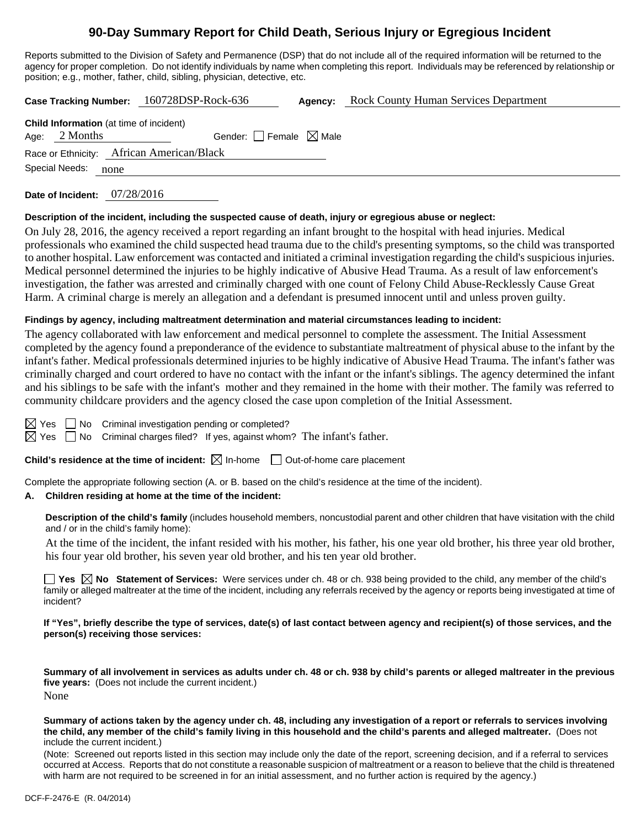# **90-Day Summary Report for Child Death, Serious Injury or Egregious Incident**

Reports submitted to the Division of Safety and Permanence (DSP) that do not include all of the required information will be returned to the agency for proper completion. Do not identify individuals by name when completing this report. Individuals may be referenced by relationship or position; e.g., mother, father, child, sibling, physician, detective, etc.

**Case Tracking Number:** 160728DSP-Rock-636 **Agency:** Rock County Human Services Department

| <b>Child Information</b> (at time of incident) |                 |                                 |  |  |  |  |
|------------------------------------------------|-----------------|---------------------------------|--|--|--|--|
|                                                | Age: $2$ Months | Gender: Female $\boxtimes$ Male |  |  |  |  |
| Race or Ethnicity: African American/Black      |                 |                                 |  |  |  |  |
| Special Needs: none                            |                 |                                 |  |  |  |  |

**Date of Incident:** 07/28/2016

#### **Description of the incident, including the suspected cause of death, injury or egregious abuse or neglect:**

On July 28, 2016, the agency received a report regarding an infant brought to the hospital with head injuries. Medical professionals who examined the child suspected head trauma due to the child's presenting symptoms, so the child was transported to another hospital. Law enforcement was contacted and initiated a criminal investigation regarding the child's suspicious injuries. Medical personnel determined the injuries to be highly indicative of Abusive Head Trauma. As a result of law enforcement's investigation, the father was arrested and criminally charged with one count of Felony Child Abuse-Recklessly Cause Great Harm. A criminal charge is merely an allegation and a defendant is presumed innocent until and unless proven guilty.

#### **Findings by agency, including maltreatment determination and material circumstances leading to incident:**

The agency collaborated with law enforcement and medical personnel to complete the assessment. The Initial Assessment completed by the agency found a preponderance of the evidence to substantiate maltreatment of physical abuse to the infant by the infant's father. Medical professionals determined injuries to be highly indicative of Abusive Head Trauma. The infant's father was criminally charged and court ordered to have no contact with the infant or the infant's siblings. The agency determined the infant and his siblings to be safe with the infant's mother and they remained in the home with their mother. The family was referred to community childcare providers and the agency closed the case upon completion of the Initial Assessment.

 $\boxtimes$  Yes  $\Box$  No Criminal investigation pending or completed?

 $\boxtimes$  Yes  $\Box$  No Criminal charges filed? If yes, against whom? The infant's father.

**Child's residence at the time of incident:** ⊠ In-home □ Out-of-home care placement

Complete the appropriate following section (A. or B. based on the child's residence at the time of the incident).

#### **A. Children residing at home at the time of the incident:**

**Description of the child's family** (includes household members, noncustodial parent and other children that have visitation with the child and / or in the child's family home):

 At the time of the incident, the infant resided with his mother, his father, his one year old brother, his three year old brother, his four year old brother, his seven year old brother, and his ten year old brother.

**Yes No Statement of Services:** Were services under ch. 48 or ch. 938 being provided to the child, any member of the child's family or alleged maltreater at the time of the incident, including any referrals received by the agency or reports being investigated at time of incident?

**If "Yes", briefly describe the type of services, date(s) of last contact between agency and recipient(s) of those services, and the person(s) receiving those services:** 

**Summary of all involvement in services as adults under ch. 48 or ch. 938 by child's parents or alleged maltreater in the previous five years:** (Does not include the current incident.) None

**Summary of actions taken by the agency under ch. 48, including any investigation of a report or referrals to services involving the child, any member of the child's family living in this household and the child's parents and alleged maltreater.** (Does not include the current incident.)

(Note: Screened out reports listed in this section may include only the date of the report, screening decision, and if a referral to services occurred at Access. Reports that do not constitute a reasonable suspicion of maltreatment or a reason to believe that the child is threatened with harm are not required to be screened in for an initial assessment, and no further action is required by the agency.)